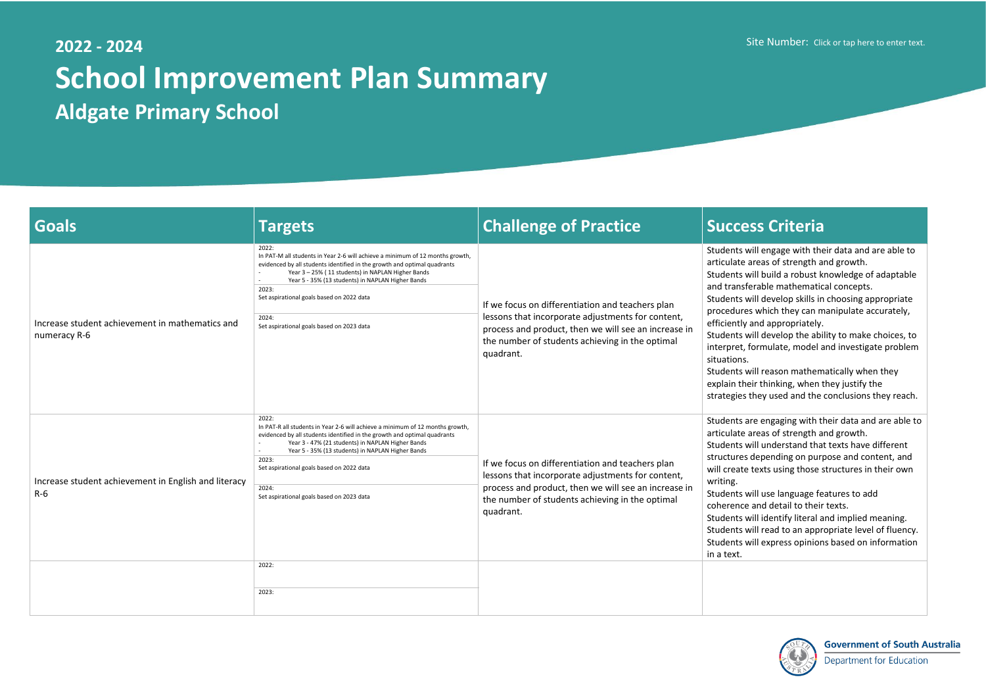## **2022 - 2024 School Improvement Plan Summary Aldgate Primary School**

Site Number: Click or tap here to enter text.

will engage with their data and are able to areas of strength and growth.

will build a robust knowledge of adaptable ferable mathematical concepts.

will develop skills in choosing appropriate es which they can manipulate accurately, and appropriately.

will develop the ability to make choices, to formulate, model and investigate problem

will reason mathematically when they eir thinking, when they justify the they used and the conclusions they reach.

are engaging with their data and are able to areas of strength and growth.

will understand that texts have different depending on purpose and content, and e texts using those structures in their own

will use language features to add e and detail to their texts.

will identify literal and implied meaning.

will read to an appropriate level of fluency.

will express opinions based on information



| Goals                                                           | <b>Targets</b>                                                                                                                                                                                                                                                                                                                                                                           | <b>Challenge of Practice</b>                                                                                                                                                                                                  | <b>Success Criteria</b>                                                                                                                                                                                                                                                                                                                                                                                                |
|-----------------------------------------------------------------|------------------------------------------------------------------------------------------------------------------------------------------------------------------------------------------------------------------------------------------------------------------------------------------------------------------------------------------------------------------------------------------|-------------------------------------------------------------------------------------------------------------------------------------------------------------------------------------------------------------------------------|------------------------------------------------------------------------------------------------------------------------------------------------------------------------------------------------------------------------------------------------------------------------------------------------------------------------------------------------------------------------------------------------------------------------|
| Increase student achievement in mathematics and<br>numeracy R-6 | 2022:<br>In PAT-M all students in Year 2-6 will achieve a minimum of 12 months growth,<br>evidenced by all students identified in the growth and optimal quadrants<br>Year 3 - 25% (11 students) in NAPLAN Higher Bands<br>Year 5 - 35% (13 students) in NAPLAN Higher Bands<br>2023:<br>Set aspirational goals based on 2022 data<br>2024:<br>Set aspirational goals based on 2023 data | If we focus on differentiation and teachers plan<br>lessons that incorporate adjustments for content,<br>process and product, then we will see an increase in<br>the number of students achieving in the optimal<br>quadrant. | Students will engage with the<br>articulate areas of strength a<br>Students will build a robust k<br>and transferable mathematic<br>Students will develop skills in<br>procedures which they can m<br>efficiently and appropriately.<br>Students will develop the abi<br>interpret, formulate, model a<br>situations.<br>Students will reason mathem<br>explain their thinking, when t<br>strategies they used and the |
| Increase student achievement in English and literacy<br>$R-6$   | 2022:<br>In PAT-R all students in Year 2-6 will achieve a minimum of 12 months growth,<br>evidenced by all students identified in the growth and optimal quadrants<br>Year 3 - 47% (21 students) in NAPLAN Higher Bands<br>Year 5 - 35% (13 students) in NAPLAN Higher Bands<br>2023:<br>Set aspirational goals based on 2022 data<br>2024:<br>Set aspirational goals based on 2023 data | If we focus on differentiation and teachers plan<br>lessons that incorporate adjustments for content,<br>process and product, then we will see an increase in<br>the number of students achieving in the optimal<br>quadrant. | Students are engaging with t<br>articulate areas of strength a<br>Students will understand that<br>structures depending on purp<br>will create texts using those s<br>writing.<br>Students will use language fe<br>coherence and detail to their<br>Students will identify literal a<br>Students will read to an appr<br>Students will express opinion<br>in a text.                                                   |
|                                                                 | 2022:<br>2023:                                                                                                                                                                                                                                                                                                                                                                           |                                                                                                                                                                                                                               |                                                                                                                                                                                                                                                                                                                                                                                                                        |